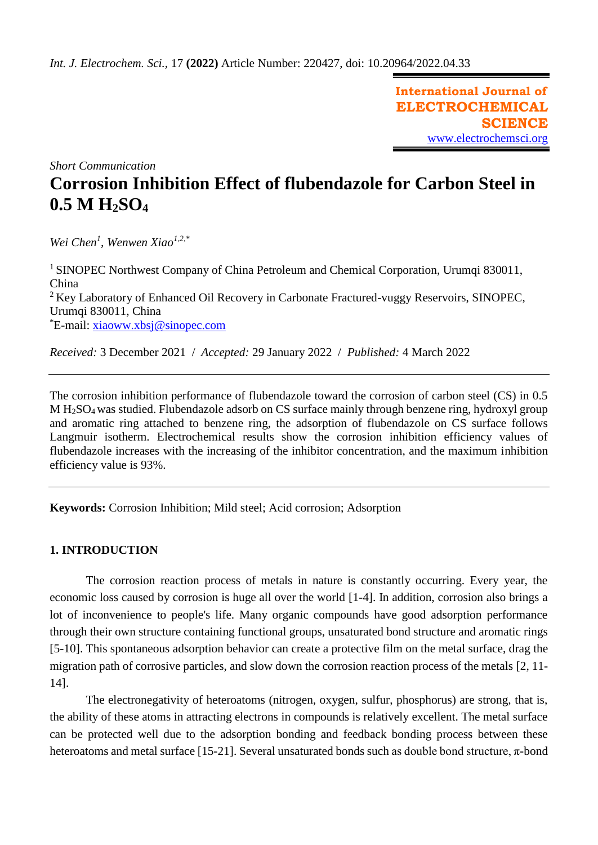**International Journal of ELECTROCHEMICAL SCIENCE** [www.electrochemsci.org](http://www.electrochemsci.org/)

*Short Communication*

# **Corrosion Inhibition Effect of flubendazole for Carbon Steel in 0.5 M H2SO<sup>4</sup>**

*Wei Chen<sup>1</sup> , Wenwen Xiao1,2,\**

<sup>1</sup> SINOPEC Northwest Company of China Petroleum and Chemical Corporation, Urumqi 830011, China <sup>2</sup> Kev Laboratory of Enhanced Oil Recovery in Carbonate Fractured-vuggy Reservoirs, SINOPEC, Urumqi 830011, China \*E-mail: [xiaoww.xbsj@sinopec.com](mailto:xiaoww.xbsj@sinopec.com)

*Received:* 3 December 2021/ *Accepted:* 29 January 2022 / *Published:* 4 March 2022

The corrosion inhibition performance of flubendazole toward the corrosion of carbon steel (CS) in 0.5 M H2SO4 was studied. Flubendazole adsorb on CS surface mainly through benzene ring, hydroxyl group and aromatic ring attached to benzene ring, the adsorption of flubendazole on CS surface follows Langmuir isotherm. Electrochemical results show the corrosion inhibition efficiency values of flubendazole increases with the increasing of the inhibitor concentration, and the maximum inhibition efficiency value is 93%.

**Keywords:** Corrosion Inhibition; Mild steel; Acid corrosion; Adsorption

## **1. INTRODUCTION**

The corrosion reaction process of metals in nature is constantly occurring. Every year, the economic loss caused by corrosion is huge all over the world [1-4]. In addition, corrosion also brings a lot of inconvenience to people's life. Many organic compounds have good adsorption performance through their own structure containing functional groups, unsaturated bond structure and aromatic rings [5-10]. This spontaneous adsorption behavior can create a protective film on the metal surface, drag the migration path of corrosive particles, and slow down the corrosion reaction process of the metals [2, 11- 14].

The electronegativity of heteroatoms (nitrogen, oxygen, sulfur, phosphorus) are strong, that is, the ability of these atoms in attracting electrons in compounds is relatively excellent. The metal surface can be protected well due to the adsorption bonding and feedback bonding process between these heteroatoms and metal surface [15-21]. Several unsaturated bonds such as double bond structure, π-bond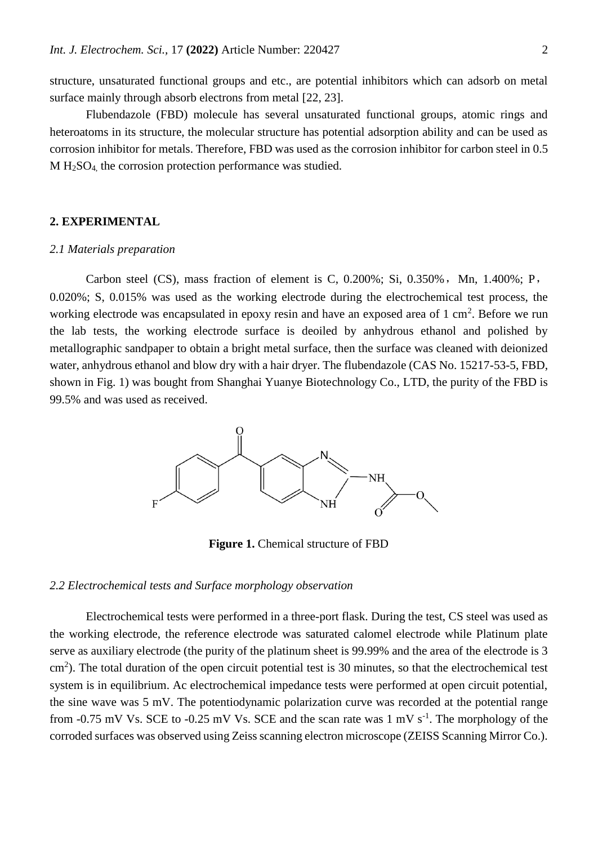structure, unsaturated functional groups and etc., are potential inhibitors which can adsorb on metal surface mainly through absorb electrons from metal [22, 23].

Flubendazole (FBD) molecule has several unsaturated functional groups, atomic rings and heteroatoms in its structure, the molecular structure has potential adsorption ability and can be used as corrosion inhibitor for metals. Therefore, FBD was used as the corrosion inhibitor for carbon steel in 0.5 M H2SO4, the corrosion protection performance was studied.

## **2. EXPERIMENTAL**

## *2.1 Materials preparation*

Carbon steel (CS), mass fraction of element is C,  $0.200\%$ ; Si,  $0.350\%$ , Mn,  $1.400\%$ ; P, 0.020%; S, 0.015% was used as the working electrode during the electrochemical test process, the working electrode was encapsulated in epoxy resin and have an exposed area of  $1 \text{ cm}^2$ . Before we run the lab tests, the working electrode surface is deoiled by anhydrous ethanol and polished by metallographic sandpaper to obtain a bright metal surface, then the surface was cleaned with deionized water, anhydrous ethanol and blow dry with a hair dryer. The flubendazole (CAS No. 15217-53-5, FBD, shown in Fig. 1) was bought from Shanghai Yuanye Biotechnology Co., LTD, the purity of the FBD is 99.5% and was used as received.



**Figure 1.** Chemical structure of FBD

#### *2.2 Electrochemical tests and Surface morphology observation*

Electrochemical tests were performed in a three-port flask. During the test, CS steel was used as the working electrode, the reference electrode was saturated calomel electrode while Platinum plate serve as auxiliary electrode (the purity of the platinum sheet is 99.99% and the area of the electrode is 3 cm<sup>2</sup>). The total duration of the open circuit potential test is 30 minutes, so that the electrochemical test system is in equilibrium. Ac electrochemical impedance tests were performed at open circuit potential, the sine wave was 5 mV. The potentiodynamic polarization curve was recorded at the potential range from  $-0.75$  mV Vs. SCE to  $-0.25$  mV Vs. SCE and the scan rate was 1 mV s<sup>-1</sup>. The morphology of the corroded surfaces was observed using Zeiss scanning electron microscope (ZEISS Scanning Mirror Co.).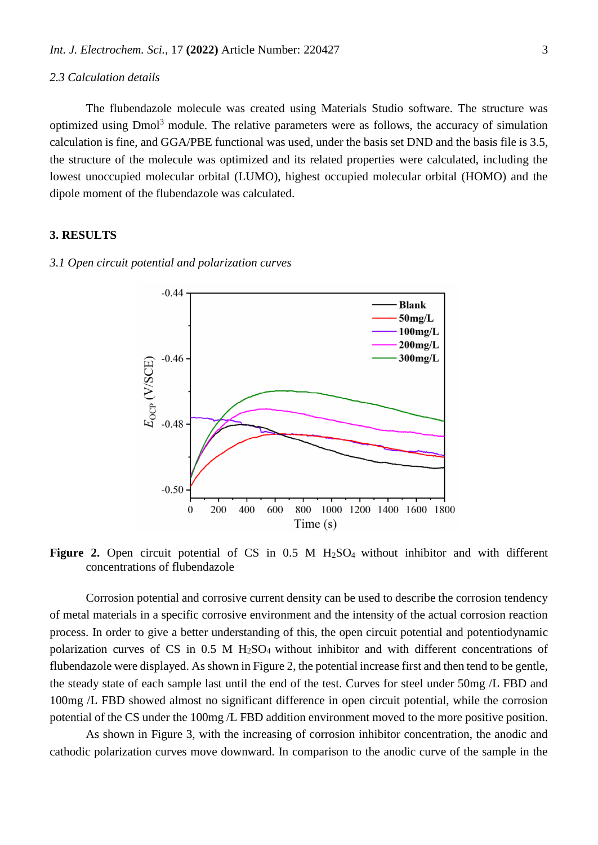#### *2.3 Calculation details*

The flubendazole molecule was created using Materials Studio software. The structure was optimized using Dmol<sup>3</sup> module. The relative parameters were as follows, the accuracy of simulation calculation is fine, and GGA/PBE functional was used, under the basis set DND and the basis file is 3.5, the structure of the molecule was optimized and its related properties were calculated, including the lowest unoccupied molecular orbital (LUMO), highest occupied molecular orbital (HOMO) and the dipole moment of the flubendazole was calculated.

# **3. RESULTS**

#### *3.1 Open circuit potential and polarization curves*



Figure 2. Open circuit potential of CS in 0.5 M H<sub>2</sub>SO<sub>4</sub> without inhibitor and with different concentrations of flubendazole

Corrosion potential and corrosive current density can be used to describe the corrosion tendency of metal materials in a specific corrosive environment and the intensity of the actual corrosion reaction process. In order to give a better understanding of this, the open circuit potential and potentiodynamic polarization curves of CS in 0.5 M H2SO4 without inhibitor and with different concentrations of flubendazole were displayed. As shown in Figure 2, the potential increase first and then tend to be gentle, the steady state of each sample last until the end of the test. Curves for steel under 50mg /L FBD and 100mg /L FBD showed almost no significant difference in open circuit potential, while the corrosion potential of the CS under the 100mg /L FBD addition environment moved to the more positive position.

As shown in Figure 3, with the increasing of corrosion inhibitor concentration, the anodic and cathodic polarization curves move downward. In comparison to the anodic curve of the sample in the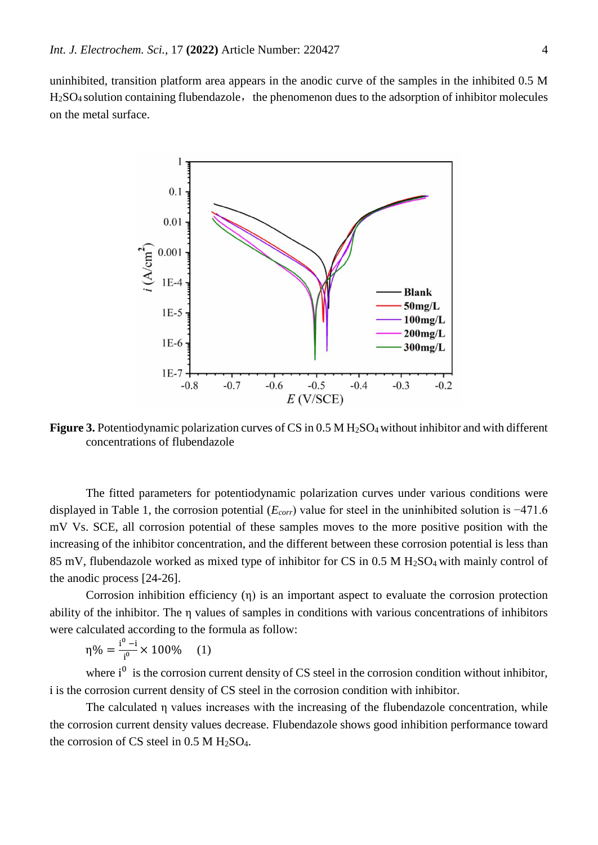uninhibited, transition platform area appears in the anodic curve of the samples in the inhibited 0.5 M  $H<sub>2</sub>SO<sub>4</sub>$  solution containing flubendazole, the phenomenon dues to the adsorption of inhibitor molecules on the metal surface.



**Figure 3.** Potentiodynamic polarization curves of CS in 0.5 M H<sub>2</sub>SO<sub>4</sub> without inhibitor and with different concentrations of flubendazole

The fitted parameters for potentiodynamic polarization curves under various conditions were displayed in Table 1, the corrosion potential (*Ecorr*) value for steel in the uninhibited solution is −471.6 mV Vs. SCE, all corrosion potential of these samples moves to the more positive position with the increasing of the inhibitor concentration, and the different between these corrosion potential is less than 85 mV, flubendazole worked as mixed type of inhibitor for CS in 0.5 M H2SO4 with mainly control of the anodic process [24-26].

Corrosion inhibition efficiency (η) is an important aspect to evaluate the corrosion protection ability of the inhibitor. The η values of samples in conditions with various concentrations of inhibitors were calculated according to the formula as follow:

η% =  $\frac{i^{0} - i}{i^{0}}$  $\frac{1}{i^{\circ}} \times 100\%$  (1)

where  $i^0$  is the corrosion current density of CS steel in the corrosion condition without inhibitor, i is the corrosion current density of CS steel in the corrosion condition with inhibitor.

The calculated η values increases with the increasing of the flubendazole concentration, while the corrosion current density values decrease. Flubendazole shows good inhibition performance toward the corrosion of CS steel in  $0.5$  M H<sub>2</sub>SO<sub>4</sub>.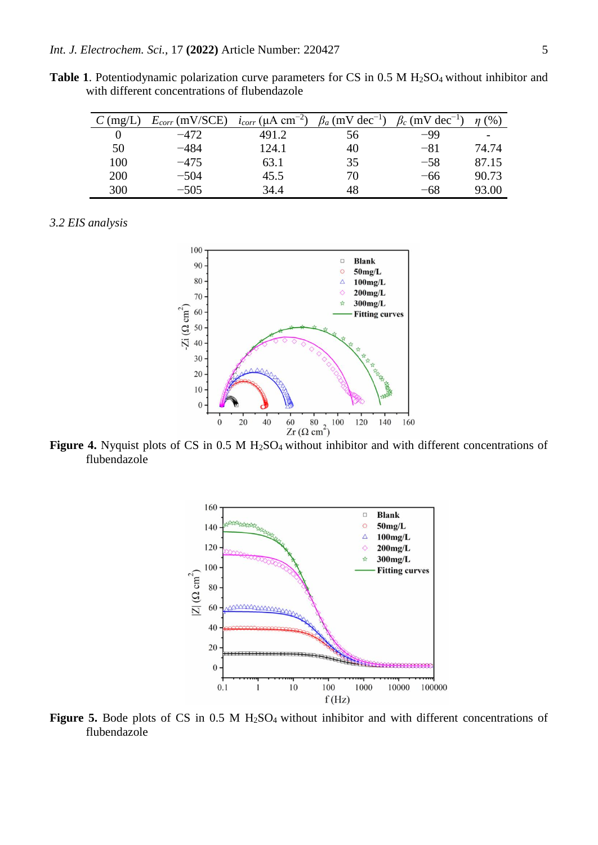Table 1. Potentiodynamic polarization curve parameters for CS in 0.5 M H<sub>2</sub>SO<sub>4</sub> without inhibitor and with different concentrations of flubendazole

| $\Gamma$ (mg/L, | $E_{corr}$ (mV/SCE) | $i_{corr}$ (µA cm <sup>-2</sup> ) | $\beta_a$ (mV dec <sup>-1</sup> ) | $\beta_c$ (mV dec <sup>-1</sup> ) | $\%$  |
|-----------------|---------------------|-----------------------------------|-----------------------------------|-----------------------------------|-------|
|                 | $-472$              | 491.2                             | 56                                | -99                               |       |
| 50              | $-484$              | 124.1                             | 40                                | $-81$                             | 74.74 |
| 100             | $-475$              | 63.1                              | 35                                | $-58$                             | 87.15 |
| 200             | $-504$              | 45.5                              | 70                                | -66                               | 90.73 |
| 300             | $-505$              | 34.4                              | 48                                | -68                               | 93.00 |

# *3.2 EIS analysis*



**Figure 4.** Nyquist plots of CS in 0.5 M H<sub>2</sub>SO<sub>4</sub> without inhibitor and with different concentrations of flubendazole



Figure 5. Bode plots of CS in 0.5 M H<sub>2</sub>SO<sub>4</sub> without inhibitor and with different concentrations of flubendazole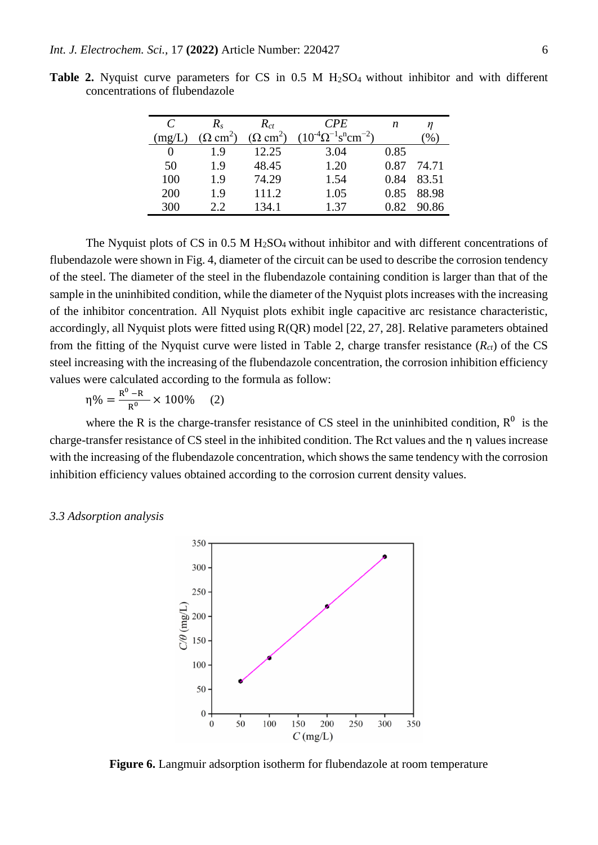| C      | $R_{s}$                    | $R_{ct}$                | <b>CPE</b>                                                  | n    |       |
|--------|----------------------------|-------------------------|-------------------------------------------------------------|------|-------|
| (mg/L) | $\Omega$ cm <sup>2</sup> ) | $(\Omega \text{ cm}^2)$ | $(10^{-4} \Omega^{-1} \text{ s}^{\text{n}} \text{cm}^{-2})$ |      | $\%$  |
|        | 19                         | 12.25                   | 3.04                                                        | 0.85 |       |
| 50     | 1.9                        | 48.45                   | 1.20                                                        | 0.87 | 74.71 |
| 100    | 1.9                        | 74.29                   | 1.54                                                        | 0.84 | 83.51 |
| 200    | 1.9                        | 111.2                   | 1.05                                                        | 0.85 | 88.98 |
| 300    | 22                         | 134.1                   | 1 37                                                        | 0.82 | 90.86 |

**Table 2.** Nyquist curve parameters for CS in 0.5 M H<sub>2</sub>SO<sub>4</sub> without inhibitor and with different concentrations of flubendazole

The Nyquist plots of CS in  $0.5 M H<sub>2</sub>SO<sub>4</sub>$  without inhibitor and with different concentrations of flubendazole were shown in Fig. 4, diameter of the circuit can be used to describe the corrosion tendency of the steel. The diameter of the steel in the flubendazole containing condition is larger than that of the sample in the uninhibited condition, while the diameter of the Nyquist plots increases with the increasing of the inhibitor concentration. All Nyquist plots exhibit ingle capacitive arc resistance characteristic, accordingly, all Nyquist plots were fitted using R(QR) model [22, 27, 28]. Relative parameters obtained from the fitting of the Nyquist curve were listed in Table 2, charge transfer resistance (*Rct*) of the CS steel increasing with the increasing of the flubendazole concentration, the corrosion inhibition efficiency values were calculated according to the formula as follow:

η% =  $\frac{R^0 - R}{R^0}$  $\frac{-R}{R^0}$  × 100% (2)

where the R is the charge-transfer resistance of CS steel in the uninhibited condition,  $R^0$  is the charge-transfer resistance of CS steel in the inhibited condition. The Rct values and the η values increase with the increasing of the flubendazole concentration, which shows the same tendency with the corrosion inhibition efficiency values obtained according to the corrosion current density values.

# *3.3 Adsorption analysis*



**Figure 6.** Langmuir adsorption isotherm for flubendazole at room temperature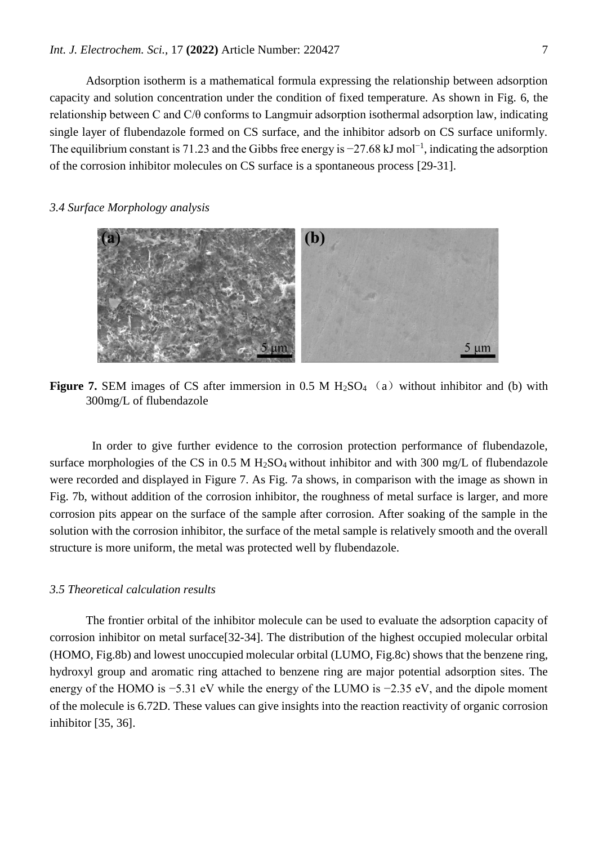Adsorption isotherm is a mathematical formula expressing the relationship between adsorption capacity and solution concentration under the condition of fixed temperature. As shown in Fig. 6, the relationship between C and C/θ conforms to Langmuir adsorption isothermal adsorption law, indicating single layer of flubendazole formed on CS surface, and the inhibitor adsorb on CS surface uniformly. The equilibrium constant is 71.23 and the Gibbs free energy is  $-27.68$  kJ mol<sup>-1</sup>, indicating the adsorption of the corrosion inhibitor molecules on CS surface is a spontaneous process [29-31].

# *3.4 Surface Morphology analysis*



**Figure 7.** SEM images of CS after immersion in  $0.5$  M  $H_2SO_4$  (a) without inhibitor and (b) with 300mg/L of flubendazole

 In order to give further evidence to the corrosion protection performance of flubendazole, surface morphologies of the CS in  $0.5 M H_2SO_4$  without inhibitor and with 300 mg/L of flubendazole were recorded and displayed in Figure 7. As Fig. 7a shows, in comparison with the image as shown in Fig. 7b, without addition of the corrosion inhibitor, the roughness of metal surface is larger, and more corrosion pits appear on the surface of the sample after corrosion. After soaking of the sample in the solution with the corrosion inhibitor, the surface of the metal sample is relatively smooth and the overall structure is more uniform, the metal was protected well by flubendazole.

# *3.5 Theoretical calculation results*

The frontier orbital of the inhibitor molecule can be used to evaluate the adsorption capacity of corrosion inhibitor on metal surface[32-34]. The distribution of the highest occupied molecular orbital (HOMO, Fig.8b) and lowest unoccupied molecular orbital (LUMO, Fig.8c) shows that the benzene ring, hydroxyl group and aromatic ring attached to benzene ring are major potential adsorption sites. The energy of the HOMO is −5.31 eV while the energy of the LUMO is −2.35 eV, and the dipole moment of the molecule is 6.72D. These values can give insights into the reaction reactivity of organic corrosion inhibitor [35, 36].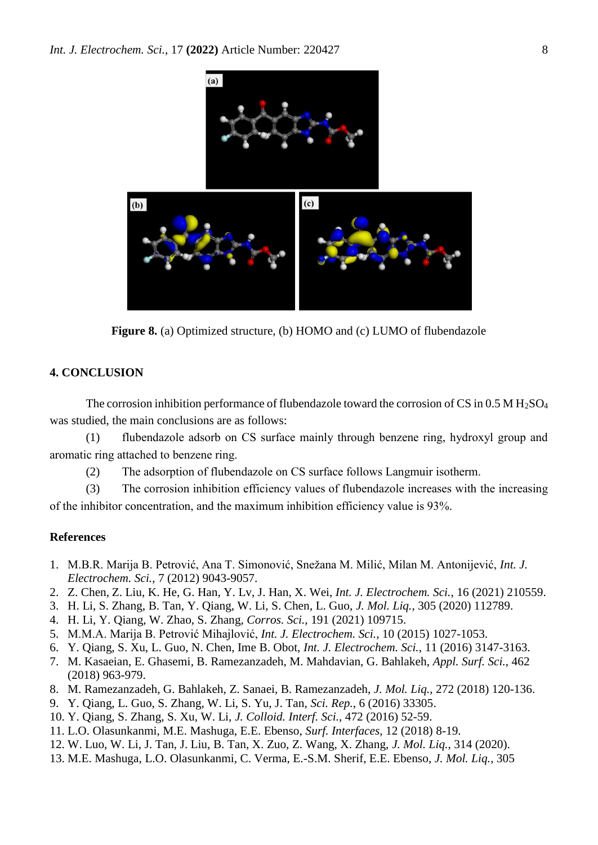

**Figure 8.** (a) Optimized structure, (b) HOMO and (c) LUMO of flubendazole

# **4. CONCLUSION**

The corrosion inhibition performance of flubendazole toward the corrosion of CS in 0.5 M H<sub>2</sub>SO<sub>4</sub> was studied, the main conclusions are as follows:

(1) flubendazole adsorb on CS surface mainly through benzene ring, hydroxyl group and aromatic ring attached to benzene ring.

(2) The adsorption of flubendazole on CS surface follows Langmuir isotherm.

(3) The corrosion inhibition efficiency values of flubendazole increases with the increasing of the inhibitor concentration, and the maximum inhibition efficiency value is 93%.

#### **References**

- 1. M.B.R. Marija B. Petrović, Ana T. Simonović, Snežana M. Milić, Milan M. Antonijević, *Int. J. Electrochem. Sci.*, 7 (2012) 9043-9057.
- 2. Z. Chen, Z. Liu, K. He, G. Han, Y. Lv, J. Han, X. Wei, *Int. J. Electrochem. Sci.*, 16 (2021) 210559.
- 3. H. Li, S. Zhang, B. Tan, Y. Qiang, W. Li, S. Chen, L. Guo, *J. Mol. Liq.*, 305 (2020) 112789.
- 4. H. Li, Y. Qiang, W. Zhao, S. Zhang, *Corros. Sci.*, 191 (2021) 109715.
- 5. M.M.A. Marija B. Petrović Mihajlović, *Int. J. Electrochem. Sci.*, 10 (2015) 1027-1053.
- 6. Y. Qiang, S. Xu, L. Guo, N. Chen, Ime B. Obot, *Int. J. Electrochem. Sci.*, 11 (2016) 3147-3163.
- 7. M. Kasaeian, E. Ghasemi, B. Ramezanzadeh, M. Mahdavian, G. Bahlakeh, *Appl. Surf. Sci.*, 462 (2018) 963-979.
- 8. M. Ramezanzadeh, G. Bahlakeh, Z. Sanaei, B. Ramezanzadeh, *J. Mol. Liq.*, 272 (2018) 120-136.
- 9. Y. Qiang, L. Guo, S. Zhang, W. Li, S. Yu, J. Tan, *Sci. Rep.*, 6 (2016) 33305.
- 10. Y. Qiang, S. Zhang, S. Xu, W. Li, *J. Colloid. Interf. Sci.*, 472 (2016) 52-59.
- 11. L.O. Olasunkanmi, M.E. Mashuga, E.E. Ebenso, *Surf. Interfaces*, 12 (2018) 8-19.
- 12. W. Luo, W. Li, J. Tan, J. Liu, B. Tan, X. Zuo, Z. Wang, X. Zhang, *J. Mol. Liq.*, 314 (2020).
- 13. M.E. Mashuga, L.O. Olasunkanmi, C. Verma, E.-S.M. Sherif, E.E. Ebenso, *J. Mol. Liq.*, 305